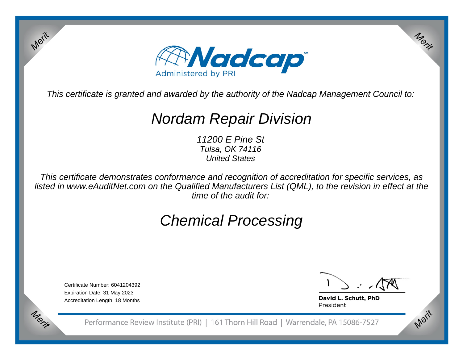

This certificate is granted and awarded by the authority of the Nadcap Management Council to:

## Nordam Repair Division

11200 E Pine St Tulsa, OK 74116United States

This certificate demonstrates conformance and recognition of accreditation for specific services, as listed in www.eAuditNet.com on the Qualified Manufacturers List (QML), to the revision in effect at thetime of the audit for:

# Chemical Processing

Certificate Number: 6041204392Expiration Date: 31 May 2023Accreditation Length: 18 Months

Merit

Merit

Merit

Merit

David L. Schutt, PhD President

Performance Review Institute (PRI) | 161 Thorn Hill Road | Warrendale, PA 15086-7527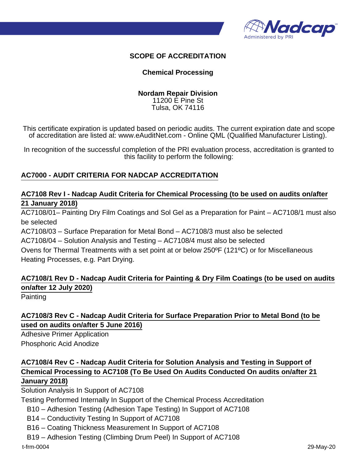

#### **SCOPE OF ACCREDITATION**

#### **Chemical Processing**

#### **Nordam Repair Division** 11200 E Pine St Tulsa, OK 74116

This certificate expiration is updated based on periodic audits. The current expiration date and scope of accreditation are listed at: www.eAuditNet.com - Online QML (Qualified Manufacturer Listing).

In recognition of the successful completion of the PRI evaluation process, accreditation is granted to this facility to perform the following:

#### **AC7000 - AUDIT CRITERIA FOR NADCAP ACCREDITATION**

#### **AC7108 Rev I - Nadcap Audit Criteria for Chemical Processing (to be used on audits on/after 21 January 2018)**

AC7108/01– Painting Dry Film Coatings and Sol Gel as a Preparation for Paint – AC7108/1 must also be selected

AC7108/03 – Surface Preparation for Metal Bond – AC7108/3 must also be selected

AC7108/04 – Solution Analysis and Testing – AC7108/4 must also be selected

Ovens for Thermal Treatments with a set point at or below 250ºF (121ºC) or for Miscellaneous Heating Processes, e.g. Part Drying.

### **AC7108/1 Rev D - Nadcap Audit Criteria for Painting & Dry Film Coatings (to be used on audits on/after 12 July 2020)**

**Painting** 

#### **AC7108/3 Rev C - Nadcap Audit Criteria for Surface Preparation Prior to Metal Bond (to be used on audits on/after 5 June 2016)**

Adhesive Primer Application Phosphoric Acid Anodize

### **AC7108/4 Rev C - Nadcap Audit Criteria for Solution Analysis and Testing in Support of Chemical Processing to AC7108 (To Be Used On Audits Conducted On audits on/after 21 January 2018)**

Solution Analysis In Support of AC7108

Testing Performed Internally In Support of the Chemical Process Accreditation

B10 – Adhesion Testing (Adhesion Tape Testing) In Support of AC7108

B14 – Conductivity Testing In Support of AC7108

B16 – Coating Thickness Measurement In Support of AC7108

B19 – Adhesion Testing (Climbing Drum Peel) In Support of AC7108